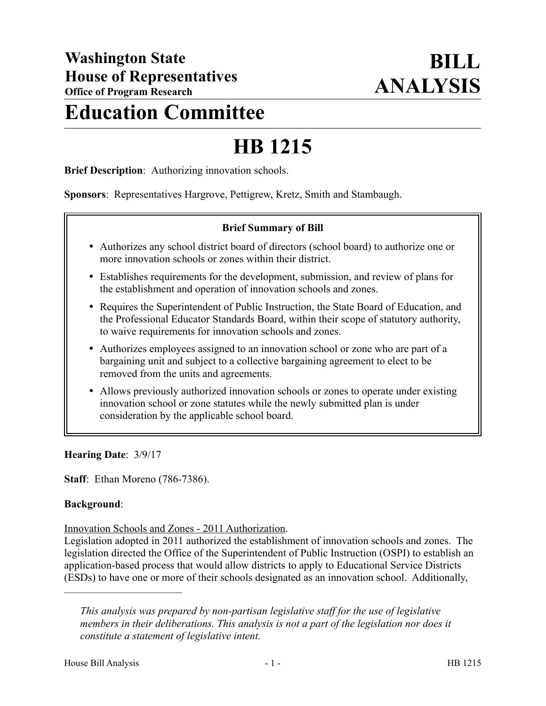## **Education Committee**

# **HB 1215**

**Brief Description**: Authorizing innovation schools.

**Sponsors**: Representatives Hargrove, Pettigrew, Kretz, Smith and Stambaugh.

#### **Brief Summary of Bill**

- Authorizes any school district board of directors (school board) to authorize one or more innovation schools or zones within their district.
- Establishes requirements for the development, submission, and review of plans for the establishment and operation of innovation schools and zones.
- Requires the Superintendent of Public Instruction, the State Board of Education, and the Professional Educator Standards Board, within their scope of statutory authority, to waive requirements for innovation schools and zones.
- Authorizes employees assigned to an innovation school or zone who are part of a bargaining unit and subject to a collective bargaining agreement to elect to be removed from the units and agreements.
- Allows previously authorized innovation schools or zones to operate under existing innovation school or zone statutes while the newly submitted plan is under consideration by the applicable school board.

**Hearing Date**: 3/9/17

**Staff**: Ethan Moreno (786-7386).

#### **Background**:

Innovation Schools and Zones - 2011 Authorization.

Legislation adopted in 2011 authorized the establishment of innovation schools and zones. The legislation directed the Office of the Superintendent of Public Instruction (OSPI) to establish an application-based process that would allow districts to apply to Educational Service Districts (ESDs) to have one or more of their schools designated as an innovation school. Additionally,

––––––––––––––––––––––

*This analysis was prepared by non-partisan legislative staff for the use of legislative members in their deliberations. This analysis is not a part of the legislation nor does it constitute a statement of legislative intent.*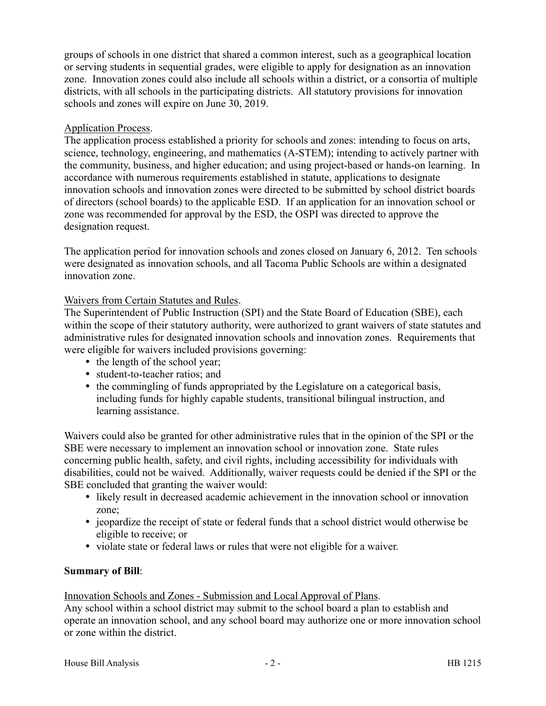groups of schools in one district that shared a common interest, such as a geographical location or serving students in sequential grades, were eligible to apply for designation as an innovation zone. Innovation zones could also include all schools within a district, or a consortia of multiple districts, with all schools in the participating districts. All statutory provisions for innovation schools and zones will expire on June 30, 2019.

## Application Process.

The application process established a priority for schools and zones: intending to focus on arts, science, technology, engineering, and mathematics (A-STEM); intending to actively partner with the community, business, and higher education; and using project-based or hands-on learning. In accordance with numerous requirements established in statute, applications to designate innovation schools and innovation zones were directed to be submitted by school district boards of directors (school boards) to the applicable ESD. If an application for an innovation school or zone was recommended for approval by the ESD, the OSPI was directed to approve the designation request.

The application period for innovation schools and zones closed on January 6, 2012. Ten schools were designated as innovation schools, and all Tacoma Public Schools are within a designated innovation zone.

#### Waivers from Certain Statutes and Rules.

The Superintendent of Public Instruction (SPI) and the State Board of Education (SBE), each within the scope of their statutory authority, were authorized to grant waivers of state statutes and administrative rules for designated innovation schools and innovation zones. Requirements that were eligible for waivers included provisions governing:

- the length of the school year;
- student-to-teacher ratios; and
- the commingling of funds appropriated by the Legislature on a categorical basis, including funds for highly capable students, transitional bilingual instruction, and learning assistance.

Waivers could also be granted for other administrative rules that in the opinion of the SPI or the SBE were necessary to implement an innovation school or innovation zone. State rules concerning public health, safety, and civil rights, including accessibility for individuals with disabilities, could not be waived. Additionally, waiver requests could be denied if the SPI or the SBE concluded that granting the waiver would:

- likely result in decreased academic achievement in the innovation school or innovation zone;
- jeopardize the receipt of state or federal funds that a school district would otherwise be eligible to receive; or
- violate state or federal laws or rules that were not eligible for a waiver.

## **Summary of Bill**:

#### Innovation Schools and Zones - Submission and Local Approval of Plans.

Any school within a school district may submit to the school board a plan to establish and operate an innovation school, and any school board may authorize one or more innovation school or zone within the district.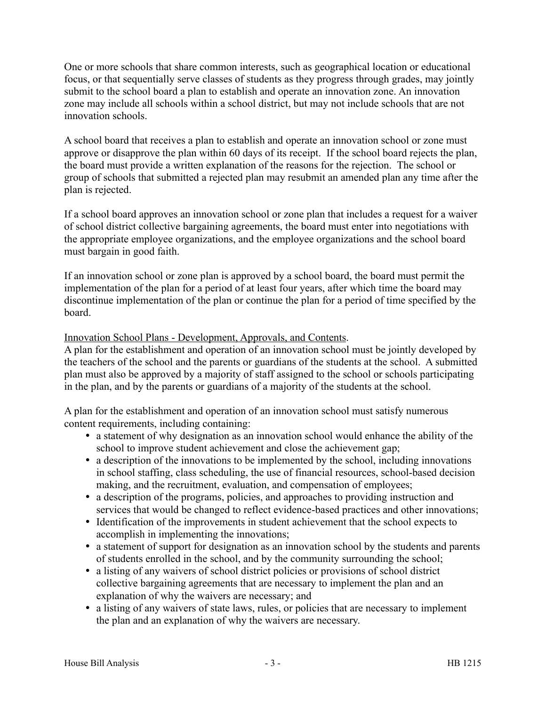One or more schools that share common interests, such as geographical location or educational focus, or that sequentially serve classes of students as they progress through grades, may jointly submit to the school board a plan to establish and operate an innovation zone. An innovation zone may include all schools within a school district, but may not include schools that are not innovation schools.

A school board that receives a plan to establish and operate an innovation school or zone must approve or disapprove the plan within 60 days of its receipt. If the school board rejects the plan, the board must provide a written explanation of the reasons for the rejection. The school or group of schools that submitted a rejected plan may resubmit an amended plan any time after the plan is rejected.

If a school board approves an innovation school or zone plan that includes a request for a waiver of school district collective bargaining agreements, the board must enter into negotiations with the appropriate employee organizations, and the employee organizations and the school board must bargain in good faith.

If an innovation school or zone plan is approved by a school board, the board must permit the implementation of the plan for a period of at least four years, after which time the board may discontinue implementation of the plan or continue the plan for a period of time specified by the board.

Innovation School Plans - Development, Approvals, and Contents.

A plan for the establishment and operation of an innovation school must be jointly developed by the teachers of the school and the parents or guardians of the students at the school. A submitted plan must also be approved by a majority of staff assigned to the school or schools participating in the plan, and by the parents or guardians of a majority of the students at the school.

A plan for the establishment and operation of an innovation school must satisfy numerous content requirements, including containing:

- a statement of why designation as an innovation school would enhance the ability of the school to improve student achievement and close the achievement gap;
- a description of the innovations to be implemented by the school, including innovations in school staffing, class scheduling, the use of financial resources, school-based decision making, and the recruitment, evaluation, and compensation of employees;
- a description of the programs, policies, and approaches to providing instruction and services that would be changed to reflect evidence-based practices and other innovations;
- Identification of the improvements in student achievement that the school expects to accomplish in implementing the innovations;
- a statement of support for designation as an innovation school by the students and parents of students enrolled in the school, and by the community surrounding the school;
- a listing of any waivers of school district policies or provisions of school district collective bargaining agreements that are necessary to implement the plan and an explanation of why the waivers are necessary; and
- a listing of any waivers of state laws, rules, or policies that are necessary to implement the plan and an explanation of why the waivers are necessary.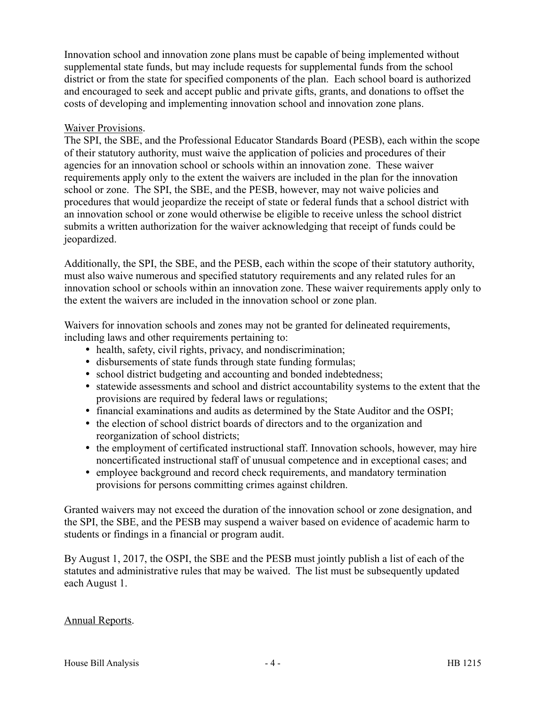Innovation school and innovation zone plans must be capable of being implemented without supplemental state funds, but may include requests for supplemental funds from the school district or from the state for specified components of the plan. Each school board is authorized and encouraged to seek and accept public and private gifts, grants, and donations to offset the costs of developing and implementing innovation school and innovation zone plans.

#### Waiver Provisions.

The SPI, the SBE, and the Professional Educator Standards Board (PESB), each within the scope of their statutory authority, must waive the application of policies and procedures of their agencies for an innovation school or schools within an innovation zone. These waiver requirements apply only to the extent the waivers are included in the plan for the innovation school or zone. The SPI, the SBE, and the PESB, however, may not waive policies and procedures that would jeopardize the receipt of state or federal funds that a school district with an innovation school or zone would otherwise be eligible to receive unless the school district submits a written authorization for the waiver acknowledging that receipt of funds could be jeopardized.

Additionally, the SPI, the SBE, and the PESB, each within the scope of their statutory authority, must also waive numerous and specified statutory requirements and any related rules for an innovation school or schools within an innovation zone. These waiver requirements apply only to the extent the waivers are included in the innovation school or zone plan.

Waivers for innovation schools and zones may not be granted for delineated requirements, including laws and other requirements pertaining to:

- health, safety, civil rights, privacy, and nondiscrimination;
- disbursements of state funds through state funding formulas;
- school district budgeting and accounting and bonded indebtedness;
- statewide assessments and school and district accountability systems to the extent that the provisions are required by federal laws or regulations;
- financial examinations and audits as determined by the State Auditor and the OSPI;
- the election of school district boards of directors and to the organization and reorganization of school districts;
- the employment of certificated instructional staff. Innovation schools, however, may hire noncertificated instructional staff of unusual competence and in exceptional cases; and
- employee background and record check requirements, and mandatory termination provisions for persons committing crimes against children.

Granted waivers may not exceed the duration of the innovation school or zone designation, and the SPI, the SBE, and the PESB may suspend a waiver based on evidence of academic harm to students or findings in a financial or program audit.

By August 1, 2017, the OSPI, the SBE and the PESB must jointly publish a list of each of the statutes and administrative rules that may be waived. The list must be subsequently updated each August 1.

## Annual Reports.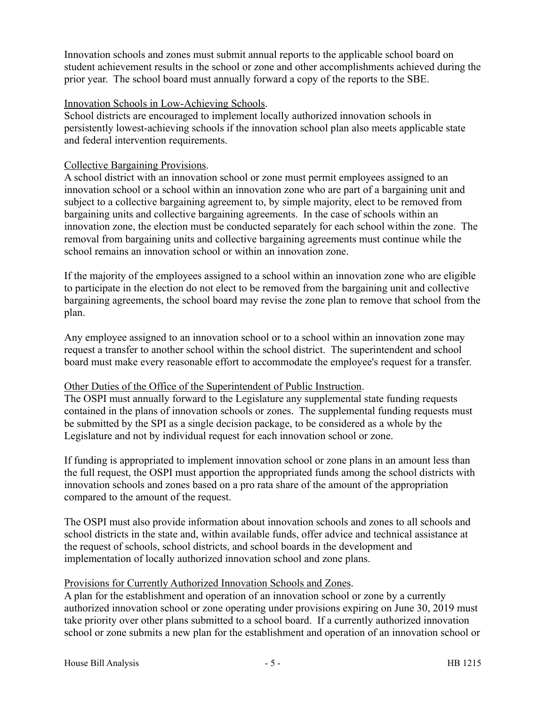Innovation schools and zones must submit annual reports to the applicable school board on student achievement results in the school or zone and other accomplishments achieved during the prior year. The school board must annually forward a copy of the reports to the SBE.

#### Innovation Schools in Low-Achieving Schools.

School districts are encouraged to implement locally authorized innovation schools in persistently lowest-achieving schools if the innovation school plan also meets applicable state and federal intervention requirements.

#### Collective Bargaining Provisions.

A school district with an innovation school or zone must permit employees assigned to an innovation school or a school within an innovation zone who are part of a bargaining unit and subject to a collective bargaining agreement to, by simple majority, elect to be removed from bargaining units and collective bargaining agreements. In the case of schools within an innovation zone, the election must be conducted separately for each school within the zone. The removal from bargaining units and collective bargaining agreements must continue while the school remains an innovation school or within an innovation zone.

If the majority of the employees assigned to a school within an innovation zone who are eligible to participate in the election do not elect to be removed from the bargaining unit and collective bargaining agreements, the school board may revise the zone plan to remove that school from the plan.

Any employee assigned to an innovation school or to a school within an innovation zone may request a transfer to another school within the school district. The superintendent and school board must make every reasonable effort to accommodate the employee's request for a transfer.

## Other Duties of the Office of the Superintendent of Public Instruction.

The OSPI must annually forward to the Legislature any supplemental state funding requests contained in the plans of innovation schools or zones. The supplemental funding requests must be submitted by the SPI as a single decision package, to be considered as a whole by the Legislature and not by individual request for each innovation school or zone.

If funding is appropriated to implement innovation school or zone plans in an amount less than the full request, the OSPI must apportion the appropriated funds among the school districts with innovation schools and zones based on a pro rata share of the amount of the appropriation compared to the amount of the request.

The OSPI must also provide information about innovation schools and zones to all schools and school districts in the state and, within available funds, offer advice and technical assistance at the request of schools, school districts, and school boards in the development and implementation of locally authorized innovation school and zone plans.

#### Provisions for Currently Authorized Innovation Schools and Zones.

A plan for the establishment and operation of an innovation school or zone by a currently authorized innovation school or zone operating under provisions expiring on June 30, 2019 must take priority over other plans submitted to a school board. If a currently authorized innovation school or zone submits a new plan for the establishment and operation of an innovation school or